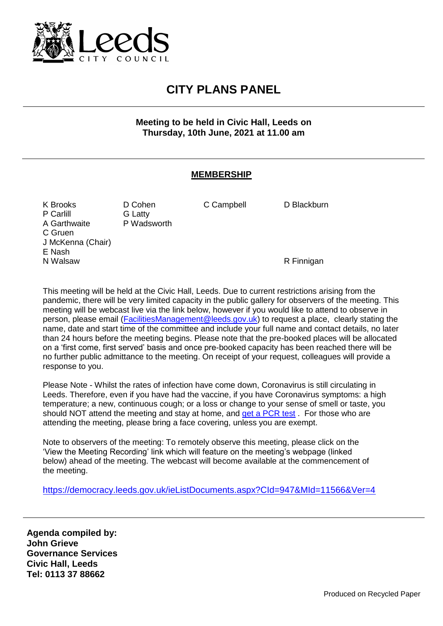

## **CITY PLANS PANEL**

**Meeting to be held in Civic Hall, Leeds on Thursday, 10th June, 2021 at 11.00 am**

## **MEMBERSHIP**

K Brooks D Cohen C Campbell D Blackburn P Carlill G Latty<br>
A Garthwaite B Wadsworth A Garthwaite C Gruen J McKenna (Chair) E Nash N Walsaw **R** Finnigan

This meeting will be held at the Civic Hall, Leeds. Due to current restrictions arising from the pandemic, there will be very limited capacity in the public gallery for observers of the meeting. This meeting will be webcast live via the link below, however if you would like to attend to observe in person, please email [\(FacilitiesManagement@leeds.gov.uk\)](mailto:FacilitiesManagement@leeds.gov.uk) to request a place, clearly stating the name, date and start time of the committee and include your full name and contact details, no later than 24 hours before the meeting begins. Please note that the pre-booked places will be allocated on a 'first come, first served' basis and once pre-booked capacity has been reached there will be no further public admittance to the meeting. On receipt of your request, colleagues will provide a response to you.

Please Note - Whilst the rates of infection have come down, Coronavirus is still circulating in Leeds. Therefore, even if you have had the vaccine, if you have Coronavirus symptoms: a high temperature; a new, continuous cough; or a loss or change to your sense of smell or taste, you should NOT attend the meeting and stay at home, and [get a PCR test](https://www.gov.uk/get-coronavirus-test). For those who are attending the meeting, please bring a face covering, unless you are exempt.

Note to observers of the meeting: To remotely observe this meeting, please click on the 'View the Meeting Recording' link which will feature on the meeting's webpage (linked below) ahead of the meeting. The webcast will become available at the commencement of the meeting.

<https://democracy.leeds.gov.uk/ieListDocuments.aspx?CId=947&MId=11566&Ver=4>

**Agenda compiled by: John Grieve Governance Services Civic Hall, Leeds Tel: 0113 37 88662**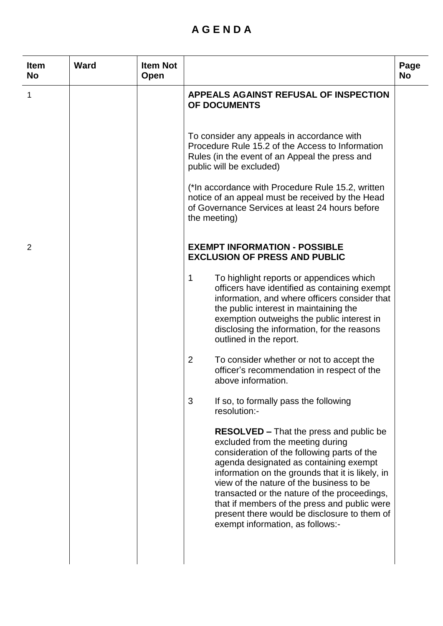## **A G E N D A**

| <b>Item</b><br><b>No</b> | <b>Ward</b> | <b>Item Not</b><br>Open |                                                                                                                                                                                                                                                                                                                                                                                                                                                                 | Page<br><b>No</b> |
|--------------------------|-------------|-------------------------|-----------------------------------------------------------------------------------------------------------------------------------------------------------------------------------------------------------------------------------------------------------------------------------------------------------------------------------------------------------------------------------------------------------------------------------------------------------------|-------------------|
| 1                        |             |                         | <b>APPEALS AGAINST REFUSAL OF INSPECTION</b><br>OF DOCUMENTS                                                                                                                                                                                                                                                                                                                                                                                                    |                   |
|                          |             |                         | To consider any appeals in accordance with<br>Procedure Rule 15.2 of the Access to Information<br>Rules (in the event of an Appeal the press and<br>public will be excluded)                                                                                                                                                                                                                                                                                    |                   |
|                          |             |                         | (*In accordance with Procedure Rule 15.2, written<br>notice of an appeal must be received by the Head<br>of Governance Services at least 24 hours before<br>the meeting)                                                                                                                                                                                                                                                                                        |                   |
| 2                        |             |                         | <b>EXEMPT INFORMATION - POSSIBLE</b><br><b>EXCLUSION OF PRESS AND PUBLIC</b>                                                                                                                                                                                                                                                                                                                                                                                    |                   |
|                          |             |                         | 1<br>To highlight reports or appendices which<br>officers have identified as containing exempt<br>information, and where officers consider that<br>the public interest in maintaining the<br>exemption outweighs the public interest in<br>disclosing the information, for the reasons<br>outlined in the report.                                                                                                                                               |                   |
|                          |             |                         | $\overline{2}$<br>To consider whether or not to accept the<br>officer's recommendation in respect of the<br>above information.                                                                                                                                                                                                                                                                                                                                  |                   |
|                          |             |                         | 3<br>If so, to formally pass the following<br>resolution:-                                                                                                                                                                                                                                                                                                                                                                                                      |                   |
|                          |             |                         | <b>RESOLVED</b> – That the press and public be<br>excluded from the meeting during<br>consideration of the following parts of the<br>agenda designated as containing exempt<br>information on the grounds that it is likely, in<br>view of the nature of the business to be<br>transacted or the nature of the proceedings,<br>that if members of the press and public were<br>present there would be disclosure to them of<br>exempt information, as follows:- |                   |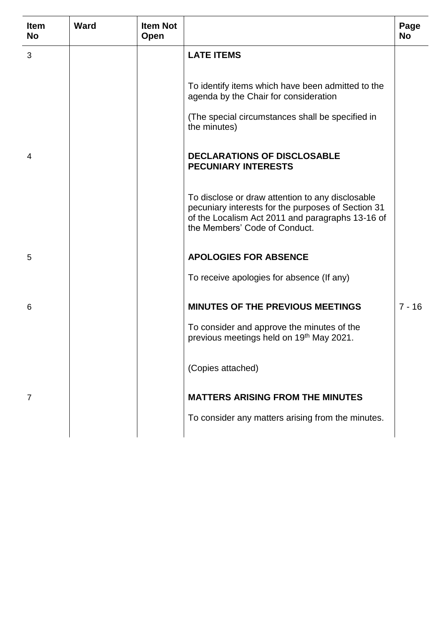| <b>Item</b><br><b>No</b> | <b>Ward</b> | <b>Item Not</b><br>Open |                                                                                                                                                                                             | Page<br>No |
|--------------------------|-------------|-------------------------|---------------------------------------------------------------------------------------------------------------------------------------------------------------------------------------------|------------|
| 3                        |             |                         | <b>LATE ITEMS</b>                                                                                                                                                                           |            |
|                          |             |                         | To identify items which have been admitted to the<br>agenda by the Chair for consideration                                                                                                  |            |
|                          |             |                         | (The special circumstances shall be specified in<br>the minutes)                                                                                                                            |            |
| 4                        |             |                         | <b>DECLARATIONS OF DISCLOSABLE</b><br><b>PECUNIARY INTERESTS</b>                                                                                                                            |            |
|                          |             |                         | To disclose or draw attention to any disclosable<br>pecuniary interests for the purposes of Section 31<br>of the Localism Act 2011 and paragraphs 13-16 of<br>the Members' Code of Conduct. |            |
| 5                        |             |                         | <b>APOLOGIES FOR ABSENCE</b>                                                                                                                                                                |            |
|                          |             |                         | To receive apologies for absence (If any)                                                                                                                                                   |            |
| 6                        |             |                         | <b>MINUTES OF THE PREVIOUS MEETINGS</b>                                                                                                                                                     | $7 - 16$   |
|                          |             |                         | To consider and approve the minutes of the<br>previous meetings held on 19th May 2021.                                                                                                      |            |
|                          |             |                         | (Copies attached)                                                                                                                                                                           |            |
| 7                        |             |                         | <b>MATTERS ARISING FROM THE MINUTES</b>                                                                                                                                                     |            |
|                          |             |                         | To consider any matters arising from the minutes.                                                                                                                                           |            |
|                          |             |                         |                                                                                                                                                                                             |            |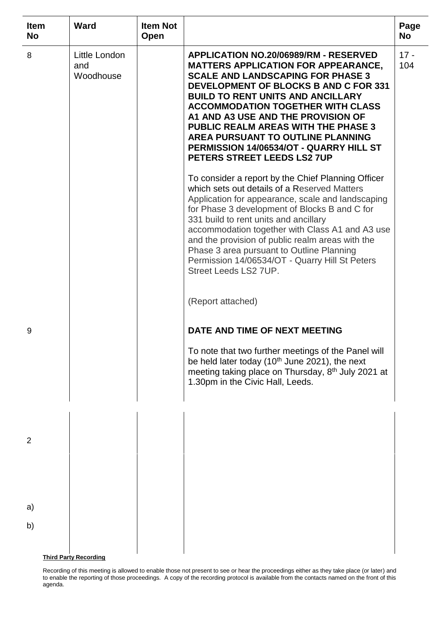| <b>Item</b><br><b>No</b> | <b>Ward</b>                       | <b>Item Not</b><br>Open |                                                                                                                                                                                                                                                                                                                                                                                                                                                                                   | Page<br><b>No</b> |
|--------------------------|-----------------------------------|-------------------------|-----------------------------------------------------------------------------------------------------------------------------------------------------------------------------------------------------------------------------------------------------------------------------------------------------------------------------------------------------------------------------------------------------------------------------------------------------------------------------------|-------------------|
| 8                        | Little London<br>and<br>Woodhouse |                         | <b>APPLICATION NO.20/06989/RM - RESERVED</b><br><b>MATTERS APPLICATION FOR APPEARANCE,</b><br><b>SCALE AND LANDSCAPING FOR PHASE 3</b><br><b>DEVELOPMENT OF BLOCKS B AND C FOR 331</b><br><b>BUILD TO RENT UNITS AND ANCILLARY</b><br><b>ACCOMMODATION TOGETHER WITH CLASS</b><br>A1 AND A3 USE AND THE PROVISION OF<br><b>PUBLIC REALM AREAS WITH THE PHASE 3</b><br>AREA PURSUANT TO OUTLINE PLANNING<br>PERMISSION 14/06534/OT - QUARRY HILL ST<br>PETERS STREET LEEDS LS2 7UP | $17 -$<br>104     |
|                          |                                   |                         | To consider a report by the Chief Planning Officer<br>which sets out details of a Reserved Matters<br>Application for appearance, scale and landscaping<br>for Phase 3 development of Blocks B and C for<br>331 build to rent units and ancillary<br>accommodation together with Class A1 and A3 use<br>and the provision of public realm areas with the<br>Phase 3 area pursuant to Outline Planning<br>Permission 14/06534/OT - Quarry Hill St Peters<br>Street Leeds LS2 7UP.  |                   |
|                          |                                   |                         | (Report attached)                                                                                                                                                                                                                                                                                                                                                                                                                                                                 |                   |
| 9                        |                                   |                         | DATE AND TIME OF NEXT MEETING                                                                                                                                                                                                                                                                                                                                                                                                                                                     |                   |
|                          |                                   |                         | To note that two further meetings of the Panel will<br>be held later today ( $10th$ June 2021), the next<br>meeting taking place on Thursday, 8 <sup>th</sup> July 2021 at<br>1.30pm in the Civic Hall, Leeds.                                                                                                                                                                                                                                                                    |                   |
| 2                        |                                   |                         |                                                                                                                                                                                                                                                                                                                                                                                                                                                                                   |                   |
|                          |                                   |                         |                                                                                                                                                                                                                                                                                                                                                                                                                                                                                   |                   |
| a)<br>b)                 |                                   |                         |                                                                                                                                                                                                                                                                                                                                                                                                                                                                                   |                   |
|                          | <b>Third Party Recording</b>      |                         |                                                                                                                                                                                                                                                                                                                                                                                                                                                                                   |                   |

Recording of this meeting is allowed to enable those not present to see or hear the proceedings either as they take place (or later) and to enable the reporting of those proceedings. A copy of the recording protocol is available from the contacts named on the front of this agenda.